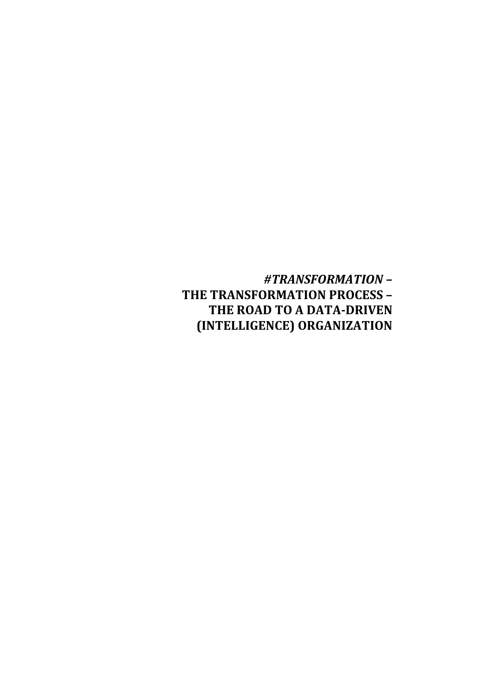# *#TRANSFORMATION –* **THE TRANSFORMATION PROCESS – THE ROAD TO A DATA-DRIVEN (INTELLIGENCE) ORGANIZATION**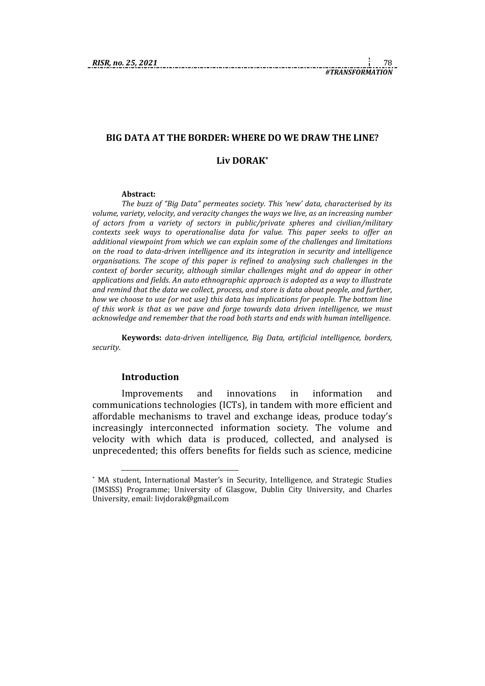# **BIG DATA AT THE BORDER: WHERE DO WE DRAW THE LINE? Liv DORAK\***

#### **Abstract:**

*The buzz of "Big Data" permeates society. This 'new' data, characterised by its volume, variety, velocity, and veracity changes the ways we live, as an increasing number of actors from a variety of sectors in public/private spheres and civilian/military contexts seek ways to operationalise data for value. This paper seeks to offer an additional viewpoint from which we can explain some of the challenges and limitations on the road to data-driven intelligence and its integration in security and intelligence organisations. The scope of this paper is refined to analysing such challenges in the context of border security, although similar challenges might and do appear in other applications and fields. An auto ethnographic approach is adopted as a way to illustrate and remind that the data we collect, process, and store is data about people, and further, how we choose to use (or not use) this data has implications for people. The bottom line of this work is that as we pave and forge towards data driven intelligence, we must acknowledge and remember that the road both starts and ends with human intelligence*.

**Keywords:** *data-driven intelligence, Big Data, artificial intelligence, borders, security*.

#### **Introduction**

1

Improvements and innovations in information and communications technologies (ICTs), in tandem with more efficient and affordable mechanisms to travel and exchange ideas, produce today's increasingly interconnected information society. The volume and velocity with which data is produced, collected, and analysed is unprecedented; this offers benefits for fields such as science, medicine

<sup>\*</sup> MA student, International Master's in Security, Intelligence, and Strategic Studies (IMSISS) Programme; University of Glasgow, Dublin City University, and Charles University, email: [livjdorak@gmail.com](about:blank)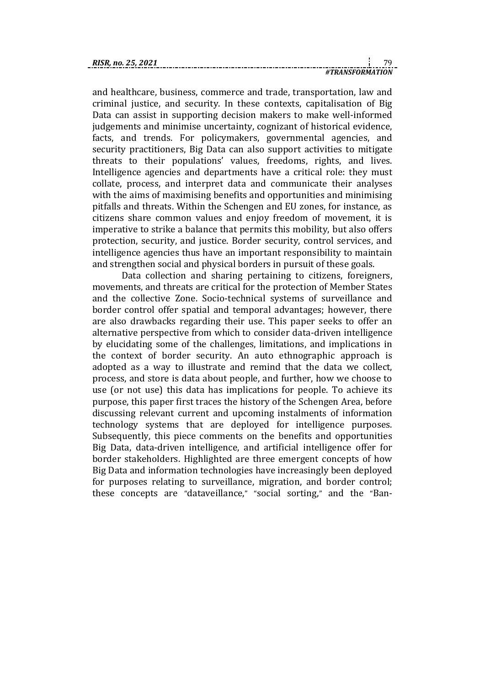| RISR, no. 25, 2021 |  |  |
|--------------------|--|--|
|                    |  |  |

| RIS |      |  |
|-----|------|--|
|     | NDMA |  |

and healthcare, business, commerce and trade, transportation, law and criminal justice, and security. In these contexts, capitalisation of Big Data can assist in supporting decision makers to make well-informed judgements and minimise uncertainty, cognizant of historical evidence, facts, and trends. For policymakers, governmental agencies, and security practitioners, Big Data can also support activities to mitigate threats to their populations' values, freedoms, rights, and lives. Intelligence agencies and departments have a critical role: they must collate, process, and interpret data and communicate their analyses with the aims of maximising benefits and opportunities and minimising pitfalls and threats. Within the Schengen and EU zones, for instance, as citizens share common values and enjoy freedom of movement, it is imperative to strike a balance that permits this mobility, but also offers protection, security, and justice. Border security, control services, and intelligence agencies thus have an important responsibility to maintain and strengthen social and physical borders in pursuit of these goals.

Data collection and sharing pertaining to citizens, foreigners, movements, and threats are critical for the protection of Member States and the collective Zone. Socio-technical systems of surveillance and border control offer spatial and temporal advantages; however, there are also drawbacks regarding their use. This paper seeks to offer an alternative perspective from which to consider data-driven intelligence by elucidating some of the challenges, limitations, and implications in the context of border security. An auto ethnographic approach is adopted as a way to illustrate and remind that the data we collect, process, and store is data about people, and further, how we choose to use (or not use) this data has implications for people. To achieve its purpose, this paper first traces the history of the Schengen Area, before discussing relevant current and upcoming instalments of information technology systems that are deployed for intelligence purposes. Subsequently, this piece comments on the benefits and opportunities Big Data, data-driven intelligence, and artificial intelligence offer for border stakeholders. Highlighted are three emergent concepts of how Big Data and information technologies have increasingly been deployed for purposes relating to surveillance, migration, and border control; these concepts are "dataveillance," "social sorting," and the "Ban-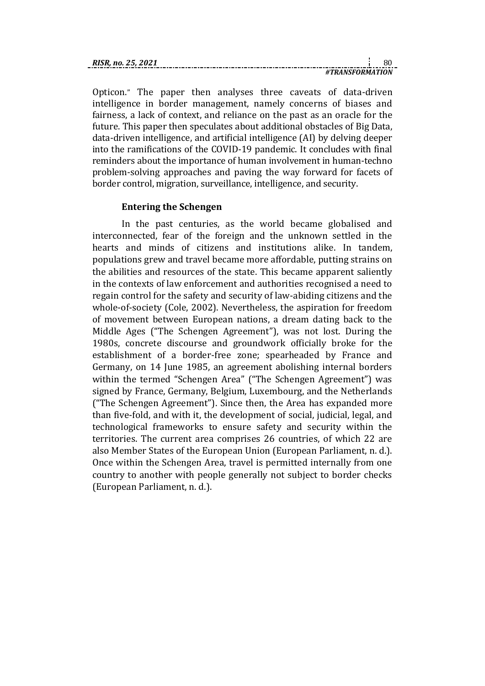| RISR. no. 25. 2021 |  |
|--------------------|--|
| TRANSFORMATION     |  |

Opticon." The paper then analyses three caveats of data-driven intelligence in border management, namely concerns of biases and fairness, a lack of context, and reliance on the past as an oracle for the future. This paper then speculates about additional obstacles of Big Data, data-driven intelligence, and artificial intelligence (AI) by delving deeper into the ramifications of the COVID-19 pandemic. It concludes with final reminders about the importance of human involvement in human-techno problem-solving approaches and paving the way forward for facets of border control, migration, surveillance, intelligence, and security.

### **Entering the Schengen**

In the past centuries, as the world became globalised and interconnected, fear of the foreign and the unknown settled in the hearts and minds of citizens and institutions alike. In tandem, populations grew and travel became more affordable, putting strains on the abilities and resources of the state. This became apparent saliently in the contexts of law enforcement and authorities recognised a need to regain control for the safety and security of law-abiding citizens and the whole-of-society (Cole, 2002). Nevertheless, the aspiration for freedom of movement between European nations, a dream dating back to the Middle Ages ("The Schengen Agreement"), was not lost. During the 1980s, concrete discourse and groundwork officially broke for the establishment of a border-free zone; spearheaded by France and Germany, on 14 June 1985, an agreement abolishing internal borders within the termed "Schengen Area" ("The Schengen Agreement") was signed by France, Germany, Belgium, Luxembourg, and the Netherlands ("The Schengen Agreement"). Since then, the Area has expanded more than five-fold, and with it, the development of social, judicial, legal, and technological frameworks to ensure safety and security within the territories. The current area comprises 26 countries, of which 22 are also Member States of the European Union (European Parliament, n. d.). Once within the Schengen Area, travel is permitted internally from one country to another with people generally not subject to border checks (European Parliament, n. d.).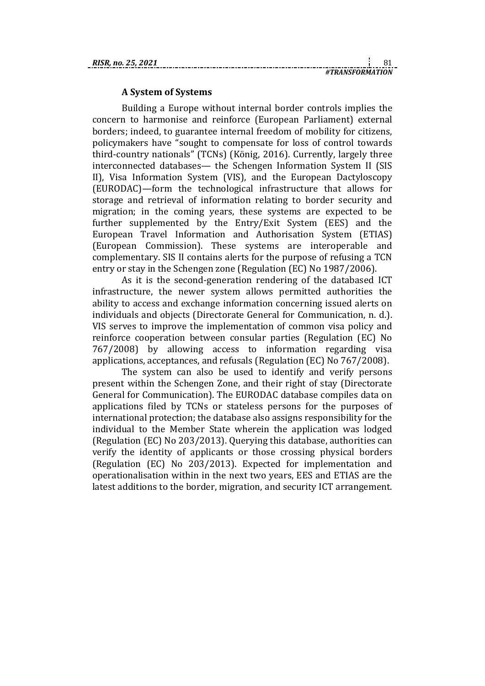#### **A System of Systems**

Building a Europe without internal border controls implies the concern to harmonise and reinforce (European Parliament) external borders; indeed, to guarantee internal freedom of mobility for citizens, policymakers have "sought to compensate for loss of control towards third-country nationals" (TCNs) (König, 2016). Currently, largely three interconnected databases— the Schengen Information System II (SIS II), Visa Information System (VIS), and the European Dactyloscopy (EURODAC)—form the technological infrastructure that allows for storage and retrieval of information relating to border security and migration; in the coming years, these systems are expected to be further supplemented by the Entry/Exit System (EES) and the European Travel Information and Authorisation System (ETIAS) (European Commission). These systems are interoperable and complementary. SIS II contains alerts for the purpose of refusing a TCN entry or stay in the Schengen zone (Regulation (EC) No 1987/2006).

As it is the second-generation rendering of the databased ICT infrastructure, the newer system allows permitted authorities the ability to access and exchange information concerning issued alerts on individuals and objects (Directorate General for Communication, n. d.). VIS serves to improve the implementation of common visa policy and reinforce cooperation between consular parties (Regulation (EC) No 767/2008) by allowing access to information regarding visa applications, acceptances, and refusals (Regulation (EC) No 767/2008).

The system can also be used to identify and verify persons present within the Schengen Zone, and their right of stay (Directorate General for Communication). The EURODAC database compiles data on applications filed by TCNs or stateless persons for the purposes of international protection; the database also assigns responsibility for the individual to the Member State wherein the application was lodged (Regulation (EC) No 203/2013). Querying this database, authorities can verify the identity of applicants or those crossing physical borders (Regulation (EC) No 203/2013). Expected for implementation and operationalisation within in the next two years, EES and ETIAS are the latest additions to the border, migration, and security ICT arrangement.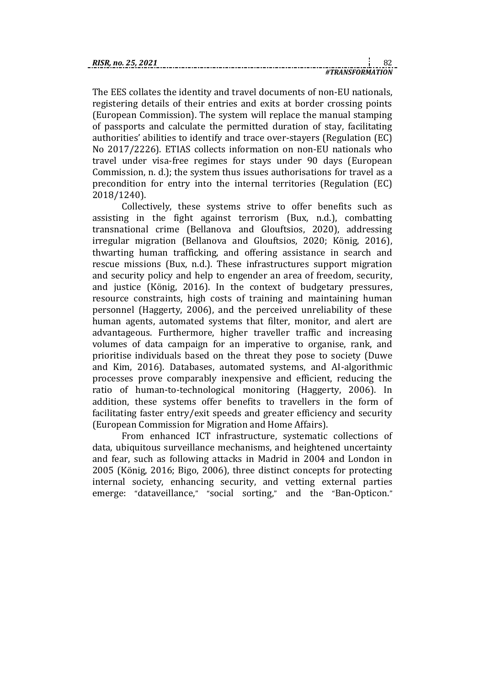| . | _._ |                 |  |  | 82 |
|---|-----|-----------------|--|--|----|
|   |     | #TRANSFORMATION |  |  |    |

The EES collates the identity and travel documents of non-EU nationals, registering details of their entries and exits at border crossing points (European Commission). The system will replace the manual stamping of passports and calculate the permitted duration of stay, facilitating authorities' abilities to identify and trace over-stayers (Regulation (EC) No 2017/2226). ETIAS collects information on non-EU nationals who travel under visa-free regimes for stays under 90 days (European Commission, n. d.); the system thus issues authorisations for travel as a precondition for entry into the internal territories (Regulation (EC) 2018/1240).

Collectively, these systems strive to offer benefits such as assisting in the fight against terrorism (Bux, n.d.), combatting transnational crime (Bellanova and Glouftsios, 2020), addressing irregular migration (Bellanova and Glouftsios, 2020; König, 2016), thwarting human trafficking, and offering assistance in search and rescue missions (Bux, n.d.). These infrastructures support migration and security policy and help to engender an area of freedom, security, and justice (König, 2016). In the context of budgetary pressures, resource constraints, high costs of training and maintaining human personnel (Haggerty, 2006), and the perceived unreliability of these human agents, automated systems that filter, monitor, and alert are advantageous. Furthermore, higher traveller traffic and increasing volumes of data campaign for an imperative to organise, rank, and prioritise individuals based on the threat they pose to society (Duwe and Kim, 2016). Databases, automated systems, and AI-algorithmic processes prove comparably inexpensive and efficient, reducing the ratio of human-to-technological monitoring (Haggerty, 2006). In addition, these systems offer benefits to travellers in the form of facilitating faster entry/exit speeds and greater efficiency and security (European Commission for Migration and Home Affairs).

From enhanced ICT infrastructure, systematic collections of data, ubiquitous surveillance mechanisms, and heightened uncertainty and fear, such as following attacks in Madrid in 2004 and London in 2005 (König, 2016; Bigo, 2006), three distinct concepts for protecting internal society, enhancing security, and vetting external parties emerge: "dataveillance," "social sorting," and the "Ban-Opticon."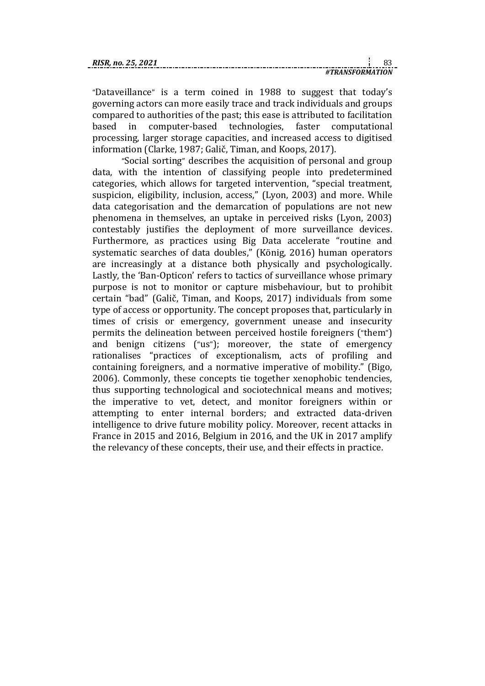"Dataveillance" is a term coined in 1988 to suggest that today's governing actors can more easily trace and track individuals and groups compared to authorities of the past; this ease is attributed to facilitation based in computer-based technologies, faster computational processing, larger storage capacities, and increased access to digitised information (Clarke, 1987; Galič, Timan, and Koops, 2017).

"Social sorting" describes the acquisition of personal and group data, with the intention of classifying people into predetermined categories, which allows for targeted intervention, "special treatment, suspicion, eligibility, inclusion, access," (Lyon, 2003) and more. While data categorisation and the demarcation of populations are not new phenomena in themselves, an uptake in perceived risks (Lyon, 2003) contestably justifies the deployment of more surveillance devices. Furthermore, as practices using Big Data accelerate "routine and systematic searches of data doubles," (König, 2016) human operators are increasingly at a distance both physically and psychologically. Lastly, the 'Ban-Opticon' refers to tactics of surveillance whose primary purpose is not to monitor or capture misbehaviour, but to prohibit certain "bad" (Galič, Timan, and Koops, 2017) individuals from some type of access or opportunity. The concept proposes that, particularly in times of crisis or emergency, government unease and insecurity permits the delineation between perceived hostile foreigners ("them") and benign citizens ("us"); moreover, the state of emergency rationalises "practices of exceptionalism, acts of profiling and containing foreigners, and a normative imperative of mobility." (Bigo, 2006). Commonly, these concepts tie together xenophobic tendencies, thus supporting technological and sociotechnical means and motives; the imperative to vet, detect, and monitor foreigners within or attempting to enter internal borders; and extracted data-driven intelligence to drive future mobility policy. Moreover, recent attacks in France in 2015 and 2016, Belgium in 2016, and the UK in 2017 amplify the relevancy of these concepts, their use, and their effects in practice.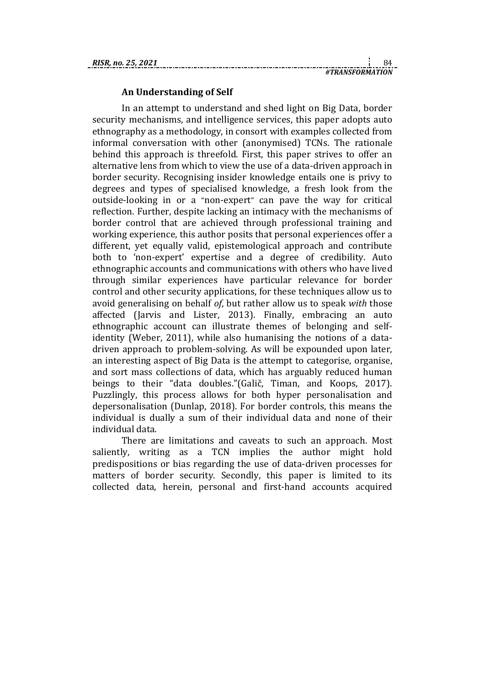#### **An Understanding of Self**

In an attempt to understand and shed light on Big Data, border security mechanisms, and intelligence services, this paper adopts auto ethnography as a methodology, in consort with examples collected from informal conversation with other (anonymised) TCNs. The rationale behind this approach is threefold. First, this paper strives to offer an alternative lens from which to view the use of a data-driven approach in border security. Recognising insider knowledge entails one is privy to degrees and types of specialised knowledge, a fresh look from the outside-looking in or a "non-expert" can pave the way for critical reflection. Further, despite lacking an intimacy with the mechanisms of border control that are achieved through professional training and working experience, this author posits that personal experiences offer a different, yet equally valid, epistemological approach and contribute both to 'non-expert' expertise and a degree of credibility. Auto ethnographic accounts and communications with others who have lived through similar experiences have particular relevance for border control and other security applications, for these techniques allow us to avoid generalising on behalf *of*, but rather allow us to speak *with* those affected (Jarvis and Lister, 2013). Finally, embracing an auto ethnographic account can illustrate themes of belonging and selfidentity (Weber, 2011), while also humanising the notions of a datadriven approach to problem-solving. As will be expounded upon later, an interesting aspect of Big Data is the attempt to categorise, organise, and sort mass collections of data, which has arguably reduced human beings to their "data doubles."(Galič, Timan, and Koops, 2017). Puzzlingly, this process allows for both hyper personalisation and depersonalisation (Dunlap, 2018). For border controls, this means the individual is dually a sum of their individual data and none of their individual data.

There are limitations and caveats to such an approach. Most saliently, writing as a TCN implies the author might hold predispositions or bias regarding the use of data-driven processes for matters of border security. Secondly, this paper is limited to its collected data, herein, personal and first-hand accounts acquired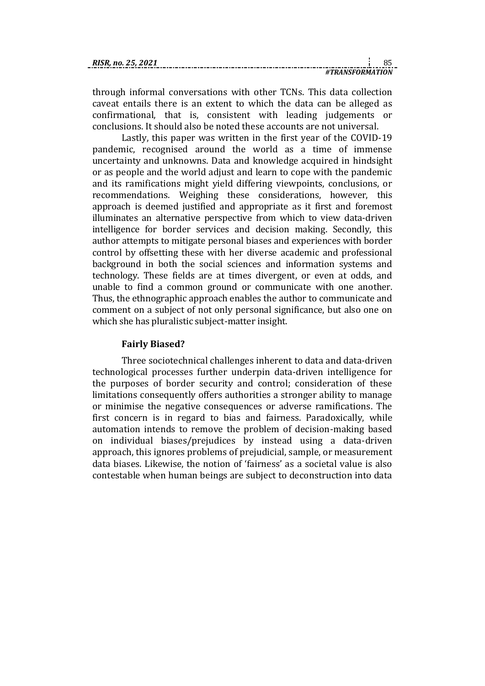| RISR. no. 25. 2021 |                 |  |
|--------------------|-----------------|--|
|                    | #TRANSFORMATION |  |

through informal conversations with other TCNs. This data collection caveat entails there is an extent to which the data can be alleged as confirmational, that is, consistent with leading judgements or conclusions. It should also be noted these accounts are not universal.

Lastly, this paper was written in the first year of the COVID-19 pandemic, recognised around the world as a time of immense uncertainty and unknowns. Data and knowledge acquired in hindsight or as people and the world adjust and learn to cope with the pandemic and its ramifications might yield differing viewpoints, conclusions, or recommendations. Weighing these considerations, however, this approach is deemed justified and appropriate as it first and foremost illuminates an alternative perspective from which to view data-driven intelligence for border services and decision making. Secondly, this author attempts to mitigate personal biases and experiences with border control by offsetting these with her diverse academic and professional background in both the social sciences and information systems and technology. These fields are at times divergent, or even at odds, and unable to find a common ground or communicate with one another. Thus, the ethnographic approach enables the author to communicate and comment on a subject of not only personal significance, but also one on which she has pluralistic subject-matter insight.

### **Fairly Biased?**

Three sociotechnical challenges inherent to data and data-driven technological processes further underpin data-driven intelligence for the purposes of border security and control; consideration of these limitations consequently offers authorities a stronger ability to manage or minimise the negative consequences or adverse ramifications. The first concern is in regard to bias and fairness. Paradoxically, while automation intends to remove the problem of decision-making based on individual biases/prejudices by instead using a data-driven approach, this ignores problems of prejudicial, sample, or measurement data biases. Likewise, the notion of 'fairness' as a societal value is also contestable when human beings are subject to deconstruction into data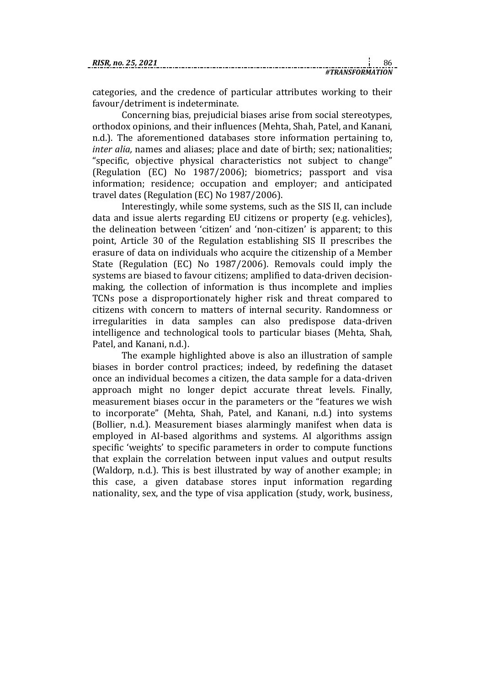categories, and the credence of particular attributes working to their favour/detriment is indeterminate.

Concerning bias, prejudicial biases arise from social stereotypes, orthodox opinions, and their influences (Mehta, Shah, Patel, and Kanani, n.d.). The aforementioned databases store information pertaining to, *inter alia,* names and aliases; place and date of birth; sex; nationalities; "specific, objective physical characteristics not subject to change" (Regulation (EC) No 1987/2006); biometrics; passport and visa information; residence; occupation and employer; and anticipated travel dates (Regulation (EC) No 1987/2006).

Interestingly, while some systems, such as the SIS II, can include data and issue alerts regarding EU citizens or property (e.g. vehicles), the delineation between 'citizen' and 'non-citizen' is apparent; to this point, Article 30 of the Regulation establishing SIS II prescribes the erasure of data on individuals who acquire the citizenship of a Member State (Regulation (EC) No 1987/2006). Removals could imply the systems are biased to favour citizens; amplified to data-driven decisionmaking, the collection of information is thus incomplete and implies TCNs pose a disproportionately higher risk and threat compared to citizens with concern to matters of internal security. Randomness or irregularities in data samples can also predispose data-driven intelligence and technological tools to particular biases (Mehta, Shah, Patel, and Kanani, n.d.).

The example highlighted above is also an illustration of sample biases in border control practices; indeed, by redefining the dataset once an individual becomes a citizen, the data sample for a data-driven approach might no longer depict accurate threat levels. Finally, measurement biases occur in the parameters or the "features we wish to incorporate" (Mehta, Shah, Patel, and Kanani, n.d.) into systems (Bollier, n.d.). Measurement biases alarmingly manifest when data is employed in AI-based algorithms and systems. AI algorithms assign specific 'weights' to specific parameters in order to compute functions that explain the correlation between input values and output results (Waldorp, n.d.). This is best illustrated by way of another example; in this case, a given database stores input information regarding nationality, sex, and the type of visa application (study, work, business,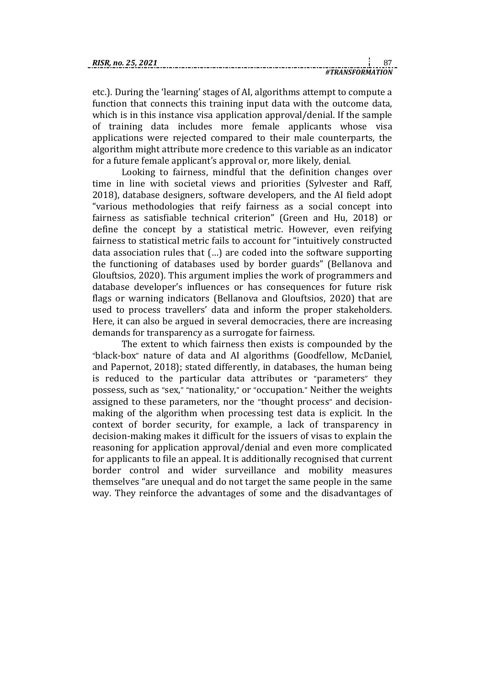| RISR. no. 25. 202 |                          |  |
|-------------------|--------------------------|--|
|                   | <i>'I TRANSFORMATION</i> |  |

etc.). During the 'learning' stages of AI, algorithms attempt to compute a function that connects this training input data with the outcome data, which is in this instance visa application approval/denial. If the sample of training data includes more female applicants whose visa applications were rejected compared to their male counterparts, the algorithm might attribute more credence to this variable as an indicator for a future female applicant's approval or, more likely, denial.

Looking to fairness, mindful that the definition changes over time in line with societal views and priorities (Sylvester and Raff, 2018), database designers, software developers, and the AI field adopt "various methodologies that reify fairness as a social concept into fairness as satisfiable technical criterion" (Green and Hu, 2018) or define the concept by a statistical metric. However, even reifying fairness to statistical metric fails to account for "intuitively constructed data association rules that (…) are coded into the software supporting the functioning of databases used by border guards" (Bellanova and Glouftsios, 2020). This argument implies the work of programmers and database developer's influences or has consequences for future risk flags or warning indicators (Bellanova and Glouftsios, 2020) that are used to process travellers' data and inform the proper stakeholders. Here, it can also be argued in several democracies, there are increasing demands for transparency as a surrogate for fairness.

The extent to which fairness then exists is compounded by the "black-box" nature of data and AI algorithms (Goodfellow, McDaniel, and Papernot, 2018); stated differently, in databases, the human being is reduced to the particular data attributes or "parameters" they possess, such as "sex," "nationality," or "occupation." Neither the weights assigned to these parameters, nor the "thought process" and decisionmaking of the algorithm when processing test data is explicit. In the context of border security, for example, a lack of transparency in decision-making makes it difficult for the issuers of visas to explain the reasoning for application approval/denial and even more complicated for applicants to file an appeal. It is additionally recognised that current border control and wider surveillance and mobility measures themselves "are unequal and do not target the same people in the same way. They reinforce the advantages of some and the disadvantages of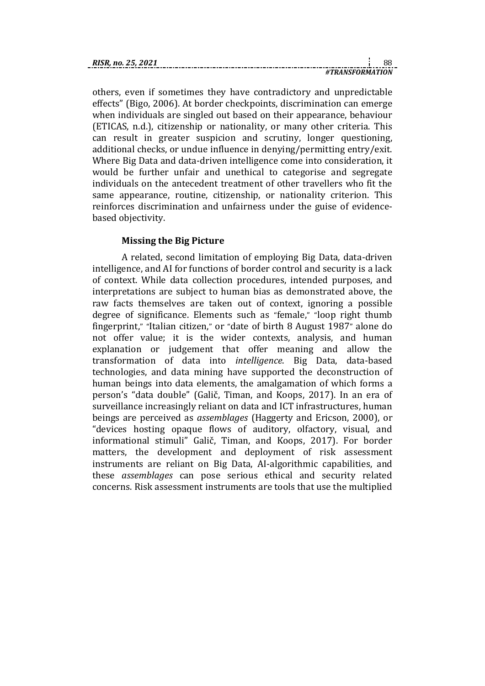| RISR. no. 25. 2021 |                 |  |
|--------------------|-----------------|--|
|                    | #TRANSFORMATION |  |

others, even if sometimes they have contradictory and unpredictable effects" (Bigo, 2006). At border checkpoints, discrimination can emerge when individuals are singled out based on their appearance, behaviour (ETICAS, n.d.), citizenship or nationality, or many other criteria. This can result in greater suspicion and scrutiny, longer questioning, additional checks, or undue influence in denying/permitting entry/exit. Where Big Data and data-driven intelligence come into consideration, it would be further unfair and unethical to categorise and segregate individuals on the antecedent treatment of other travellers who fit the same appearance, routine, citizenship, or nationality criterion. This reinforces discrimination and unfairness under the guise of evidencebased objectivity.

### **Missing the Big Picture**

A related, second limitation of employing Big Data, data-driven intelligence, and AI for functions of border control and security is a lack of context. While data collection procedures, intended purposes, and interpretations are subject to human bias as demonstrated above, the raw facts themselves are taken out of context, ignoring a possible degree of significance. Elements such as "female," "loop right thumb fingerprint," "Italian citizen," or "date of birth 8 August 1987" alone do not offer value; it is the wider contexts, analysis, and human explanation or judgement that offer meaning and allow the transformation of data into *intelligence*. Big Data, data-based technologies, and data mining have supported the deconstruction of human beings into data elements, the amalgamation of which forms a person's "data double" (Galič, Timan, and Koops, 2017). In an era of surveillance increasingly reliant on data and ICT infrastructures, human beings are perceived as *assemblages* (Haggerty and Ericson, 2000), or "devices hosting opaque flows of auditory, olfactory, visual, and informational stimuli" Galič, Timan, and Koops, 2017). For border matters, the development and deployment of risk assessment instruments are reliant on Big Data, AI-algorithmic capabilities, and these *assemblages* can pose serious ethical and security related concerns. Risk assessment instruments are tools that use the multiplied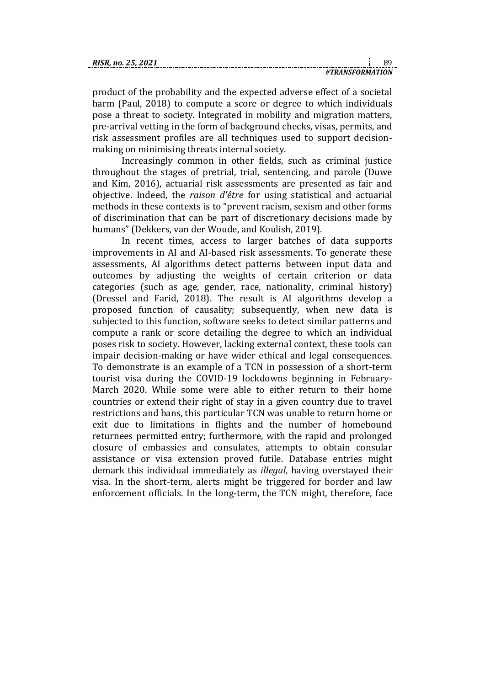product of the probability and the expected adverse effect of a societal harm (Paul, 2018) to compute a score or degree to which individuals pose a threat to society. Integrated in mobility and migration matters, pre-arrival vetting in the form of background checks, visas, permits, and risk assessment profiles are all techniques used to support decisionmaking on minimising threats internal society.

Increasingly common in other fields, such as criminal justice throughout the stages of pretrial, trial, sentencing, and parole (Duwe and Kim, 2016), actuarial risk assessments are presented as fair and objective. Indeed, the *raison d'être* for using statistical and actuarial methods in these contexts is to "prevent racism, sexism and other forms of discrimination that can be part of discretionary decisions made by humans" (Dekkers, van der Woude, and Koulish, 2019).

In recent times, access to larger batches of data supports improvements in AI and AI-based risk assessments. To generate these assessments, AI algorithms detect patterns between input data and outcomes by adjusting the weights of certain criterion or data categories (such as age, gender, race, nationality, criminal history) (Dressel and Farid, 2018). The result is AI algorithms develop a proposed function of causality; subsequently, when new data is subjected to this function, software seeks to detect similar patterns and compute a rank or score detailing the degree to which an individual poses risk to society. However, lacking external context, these tools can impair decision-making or have wider ethical and legal consequences. To demonstrate is an example of a TCN in possession of a short-term tourist visa during the COVID-19 lockdowns beginning in February-March 2020. While some were able to either return to their home countries or extend their right of stay in a given country due to travel restrictions and bans, this particular TCN was unable to return home or exit due to limitations in flights and the number of homebound returnees permitted entry; furthermore, with the rapid and prolonged closure of embassies and consulates, attempts to obtain consular assistance or visa extension proved futile. Database entries might demark this individual immediately as *illegal*, having overstayed their visa. In the short-term, alerts might be triggered for border and law enforcement officials. In the long-term, the TCN might, therefore, face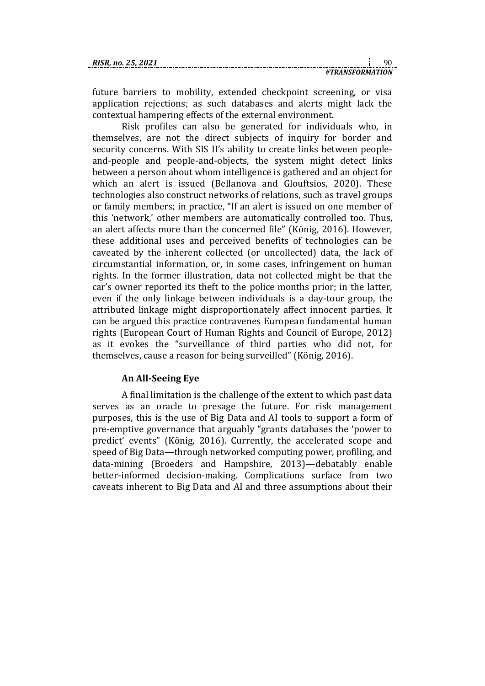| RISR. no. 25. 2021 |                |  |
|--------------------|----------------|--|
|                    | TRANSFORMATION |  |

future barriers to mobility, extended checkpoint screening, or visa application rejections; as such databases and alerts might lack the contextual hampering effects of the external environment.

Risk profiles can also be generated for individuals who, in themselves, are not the direct subjects of inquiry for border and security concerns. With SIS II's ability to create links between peopleand-people and people-and-objects, the system might detect links between a person about whom intelligence is gathered and an object for which an alert is issued (Bellanova and Glouftsios, 2020). These technologies also construct networks of relations, such as travel groups or family members; in practice, "If an alert is issued on one member of this 'network,' other members are automatically controlled too. Thus, an alert affects more than the concerned file" (König, 2016). However, these additional uses and perceived benefits of technologies can be caveated by the inherent collected (or uncollected) data, the lack of circumstantial information, or, in some cases, infringement on human rights. In the former illustration, data not collected might be that the car's owner reported its theft to the police months prior; in the latter, even if the only linkage between individuals is a day-tour group, the attributed linkage might disproportionately affect innocent parties. It can be argued this practice contravenes European fundamental human rights (European Court of Human Rights and Council of Europe, 2012) as it evokes the "surveillance of third parties who did not, for themselves, cause a reason for being surveilled" (König, 2016).

### **An All-Seeing Eye**

A final limitation is the challenge of the extent to which past data serves as an oracle to presage the future. For risk management purposes, this is the use of Big Data and AI tools to support a form of pre-emptive governance that arguably "grants databases the 'power to predict' events" (König, 2016). Currently, the accelerated scope and speed of Big Data—through networked computing power, profiling, and data-mining (Broeders and Hampshire, 2013)—debatably enable better-informed decision-making. Complications surface from two caveats inherent to Big Data and AI and three assumptions about their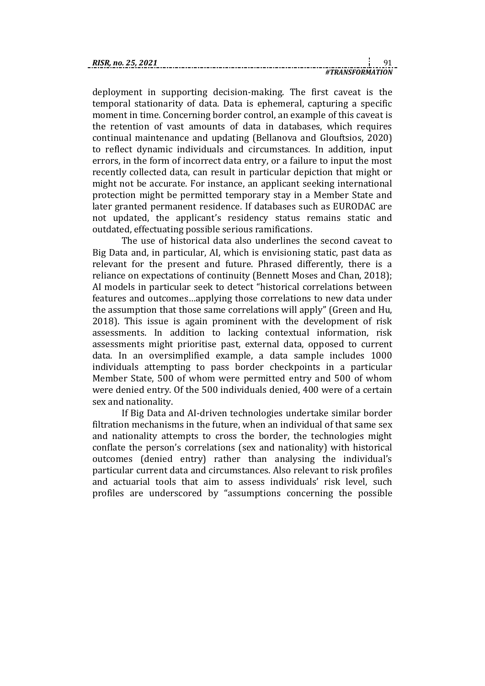deployment in supporting decision-making. The first caveat is the temporal stationarity of data. Data is ephemeral, capturing a specific moment in time. Concerning border control, an example of this caveat is the retention of vast amounts of data in databases, which requires continual maintenance and updating (Bellanova and Glouftsios, 2020) to reflect dynamic individuals and circumstances. In addition, input errors, in the form of incorrect data entry, or a failure to input the most recently collected data, can result in particular depiction that might or might not be accurate. For instance, an applicant seeking international protection might be permitted temporary stay in a Member State and later granted permanent residence. If databases such as EURODAC are not updated, the applicant's residency status remains static and outdated, effectuating possible serious ramifications.

The use of historical data also underlines the second caveat to Big Data and, in particular, AI, which is envisioning static, past data as relevant for the present and future. Phrased differently, there is a reliance on expectations of continuity (Bennett Moses and Chan, 2018); AI models in particular seek to detect "historical correlations between features and outcomes…applying those correlations to new data under the assumption that those same correlations will apply" (Green and Hu, 2018). This issue is again prominent with the development of risk assessments. In addition to lacking contextual information, risk assessments might prioritise past, external data, opposed to current data. In an oversimplified example, a data sample includes 1000 individuals attempting to pass border checkpoints in a particular Member State, 500 of whom were permitted entry and 500 of whom were denied entry. Of the 500 individuals denied, 400 were of a certain sex and nationality.

If Big Data and AI-driven technologies undertake similar border filtration mechanisms in the future, when an individual of that same sex and nationality attempts to cross the border, the technologies might conflate the person's correlations (sex and nationality) with historical outcomes (denied entry) rather than analysing the individual's particular current data and circumstances. Also relevant to risk profiles and actuarial tools that aim to assess individuals' risk level, such profiles are underscored by "assumptions concerning the possible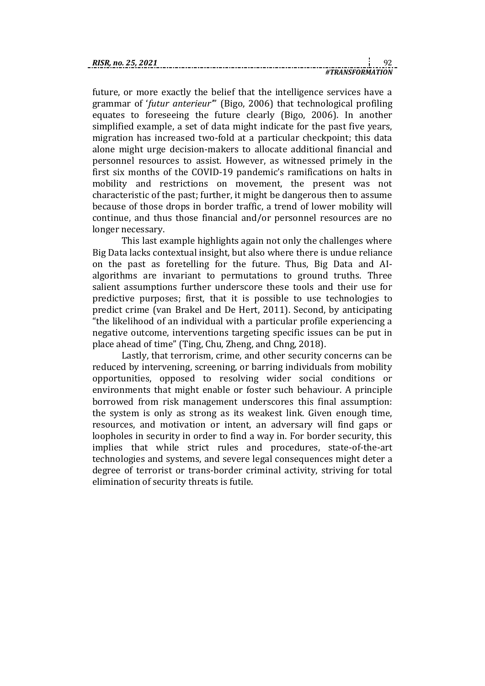future, or more exactly the belief that the intelligence services have a grammar of '*futur anterieur'*" (Bigo, 2006) that technological profiling equates to foreseeing the future clearly (Bigo, 2006). In another simplified example, a set of data might indicate for the past five years, migration has increased two-fold at a particular checkpoint; this data alone might urge decision-makers to allocate additional financial and personnel resources to assist. However, as witnessed primely in the first six months of the COVID-19 pandemic's ramifications on halts in mobility and restrictions on movement, the present was not characteristic of the past; further, it might be dangerous then to assume because of those drops in border traffic, a trend of lower mobility will continue, and thus those financial and/or personnel resources are no longer necessary.

This last example highlights again not only the challenges where Big Data lacks contextual insight, but also where there is undue reliance on the past as foretelling for the future. Thus, Big Data and AIalgorithms are invariant to permutations to ground truths. Three salient assumptions further underscore these tools and their use for predictive purposes; first, that it is possible to use technologies to predict crime (van Brakel and De Hert, 2011). Second, by anticipating "the likelihood of an individual with a particular profile experiencing a negative outcome, interventions targeting specific issues can be put in place ahead of time" (Ting, Chu, Zheng, and Chng, 2018).

Lastly, that terrorism, crime, and other security concerns can be reduced by intervening, screening, or barring individuals from mobility opportunities, opposed to resolving wider social conditions or environments that might enable or foster such behaviour. A principle borrowed from risk management underscores this final assumption: the system is only as strong as its weakest link. Given enough time, resources, and motivation or intent, an adversary will find gaps or loopholes in security in order to find a way in. For border security, this implies that while strict rules and procedures, state-of-the-art technologies and systems, and severe legal consequences might deter a degree of terrorist or trans-border criminal activity, striving for total elimination of security threats is futile.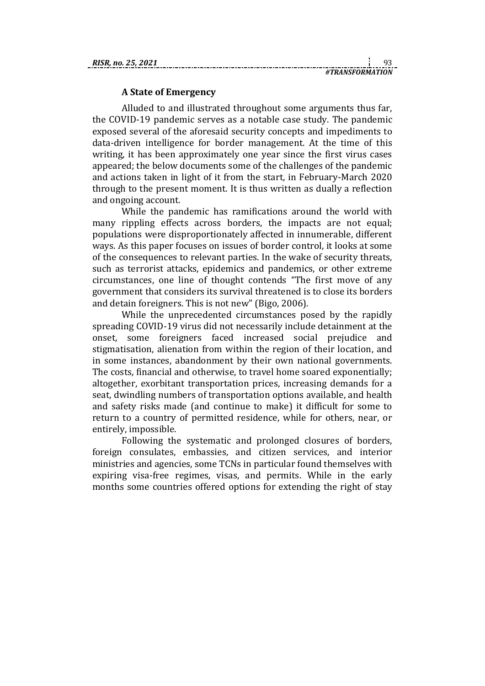#### **A State of Emergency**

Alluded to and illustrated throughout some arguments thus far, the COVID-19 pandemic serves as a notable case study. The pandemic exposed several of the aforesaid security concepts and impediments to data-driven intelligence for border management. At the time of this writing, it has been approximately one year since the first virus cases appeared; the below documents some of the challenges of the pandemic and actions taken in light of it from the start, in February-March 2020 through to the present moment. It is thus written as dually a reflection and ongoing account.

While the pandemic has ramifications around the world with many rippling effects across borders, the impacts are not equal; populations were disproportionately affected in innumerable, different ways. As this paper focuses on issues of border control, it looks at some of the consequences to relevant parties. In the wake of security threats, such as terrorist attacks, epidemics and pandemics, or other extreme circumstances, one line of thought contends "The first move of any government that considers its survival threatened is to close its borders and detain foreigners. This is not new" (Bigo, 2006).

While the unprecedented circumstances posed by the rapidly spreading COVID-19 virus did not necessarily include detainment at the onset, some foreigners faced increased social prejudice and stigmatisation, alienation from within the region of their location, and in some instances, abandonment by their own national governments. The costs, financial and otherwise, to travel home soared exponentially; altogether, exorbitant transportation prices, increasing demands for a seat, dwindling numbers of transportation options available, and health and safety risks made (and continue to make) it difficult for some to return to a country of permitted residence, while for others, near, or entirely, impossible.

Following the systematic and prolonged closures of borders, foreign consulates, embassies, and citizen services, and interior ministries and agencies, some TCNs in particular found themselves with expiring visa-free regimes, visas, and permits. While in the early months some countries offered options for extending the right of stay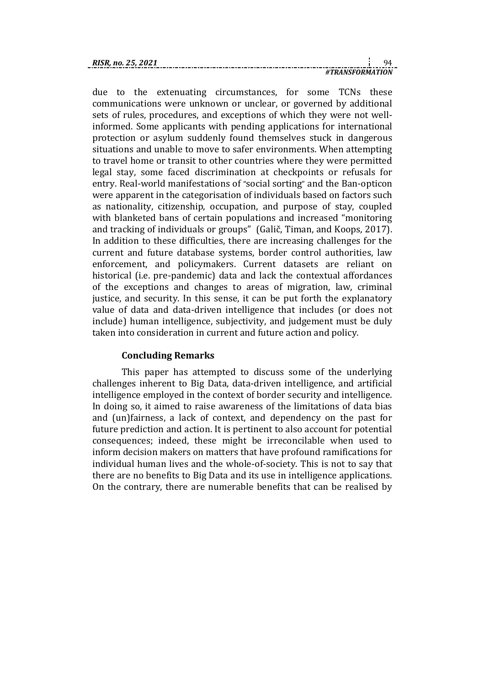| RISR. no. 25, 2021 |  |  |
|--------------------|--|--|
|                    |  |  |

due to the extenuating circumstances, for some TCNs these communications were unknown or unclear, or governed by additional sets of rules, procedures, and exceptions of which they were not wellinformed. Some applicants with pending applications for international protection or asylum suddenly found themselves stuck in dangerous situations and unable to move to safer environments. When attempting to travel home or transit to other countries where they were permitted legal stay, some faced discrimination at checkpoints or refusals for entry. Real-world manifestations of "social sorting" and the Ban-opticon were apparent in the categorisation of individuals based on factors such as nationality, citizenship, occupation, and purpose of stay, coupled with blanketed bans of certain populations and increased "monitoring and tracking of individuals or groups" (Galič, Timan, and Koops, 2017). In addition to these difficulties, there are increasing challenges for the current and future database systems, border control authorities, law enforcement, and policymakers. Current datasets are reliant on historical (i.e. pre-pandemic) data and lack the contextual affordances of the exceptions and changes to areas of migration, law, criminal justice, and security. In this sense, it can be put forth the explanatory value of data and data-driven intelligence that includes (or does not include) human intelligence, subjectivity, and judgement must be duly taken into consideration in current and future action and policy.

### **Concluding Remarks**

This paper has attempted to discuss some of the underlying challenges inherent to Big Data, data-driven intelligence, and artificial intelligence employed in the context of border security and intelligence. In doing so, it aimed to raise awareness of the limitations of data bias and (un)fairness, a lack of context, and dependency on the past for future prediction and action. It is pertinent to also account for potential consequences; indeed, these might be irreconcilable when used to inform decision makers on matters that have profound ramifications for individual human lives and the whole-of-society. This is not to say that there are no benefits to Big Data and its use in intelligence applications. On the contrary, there are numerable benefits that can be realised by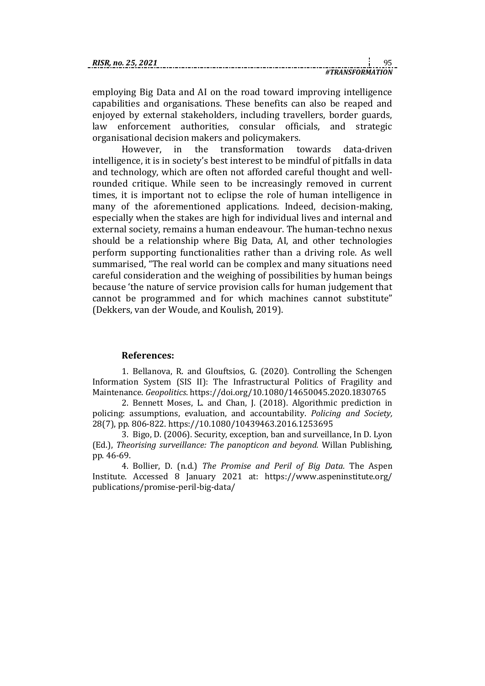| RIJK. 110. ZJ. |  |  |
|----------------|--|--|
|                |  |  |

employing Big Data and AI on the road toward improving intelligence capabilities and organisations. These benefits can also be reaped and enjoyed by external stakeholders, including travellers, border guards, law enforcement authorities, consular officials, and strategic organisational decision makers and policymakers.

However, in the transformation towards data-driven intelligence, it is in society's best interest to be mindful of pitfalls in data and technology, which are often not afforded careful thought and wellrounded critique. While seen to be increasingly removed in current times, it is important not to eclipse the role of human intelligence in many of the aforementioned applications. Indeed, decision-making, especially when the stakes are high for individual lives and internal and external society, remains a human endeavour. The human-techno nexus should be a relationship where Big Data, AI, and other technologies perform supporting functionalities rather than a driving role. As well summarised, "The real world can be complex and many situations need careful consideration and the weighing of possibilities by human beings because 'the nature of service provision calls for human judgement that cannot be programmed and for which machines cannot substitute" (Dekkers, van der Woude, and Koulish, 2019).

#### **References:**

1. Bellanova, R. and Glouftsios, G. (2020). Controlling the Schengen Information System (SIS II): The Infrastructural Politics of Fragility and Maintenance. *Geopolitics*[. https://doi.org/10.1080/14650045.2020.1830765](https://doi.org/10.1080/14650045.2020.1830765)

2. Bennett Moses, L. and Chan, J. (2018). Algorithmic prediction in policing: assumptions, evaluation, and accountability. *Policing and Society,* 28(7), pp. 806-822. [https://10.1080/10439463.2016.1253695](https://10.0.4.56/10439463.2016.1253695)

3. Bigo, D. (2006). Security, exception, ban and surveillance, In D. Lyon (Ed.), *Theorising surveillance: The panopticon and beyond.* Willan Publishing, pp. 46-69.

4. Bollier, D. (n.d.) *The Promise and Peril of Big Data.* The Aspen Institute. Accessed 8 January 2021 at: [https://www.aspeninstitute.org/](https://www.aspeninstitute.org/publications/promise-peril-big-data/) [publications/promise-peril-big-data/](https://www.aspeninstitute.org/publications/promise-peril-big-data/)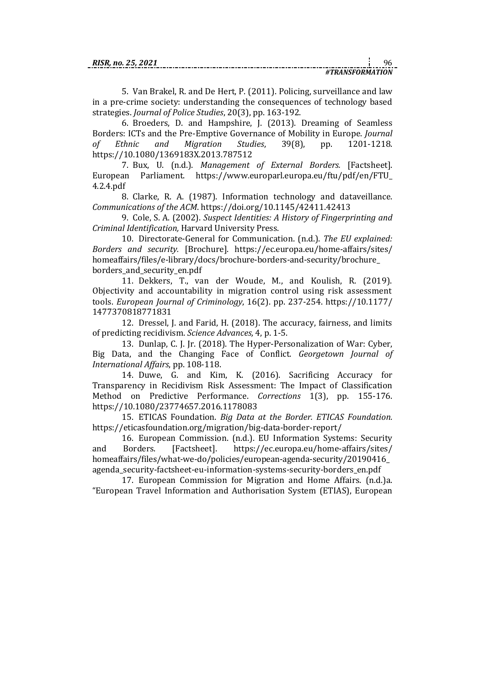| no |  |  |
|----|--|--|
|    |  |  |

5. Van Brakel, R. and De Hert, P. (2011). Policing, surveillance and law in a pre-crime society: understanding the consequences of technology based strategies. *Journal of Police Studies*, 20(3), pp. 163-192.

6. Broeders, D. and Hampshire, J. (2013). Dreaming of Seamless Borders: ICTs and the Pre-Emptive Governance of Mobility in Europe. *Journal of Ethnic and Migration Studies*, 39(8), pp. 1201-1218. [https://10.1080/1369183X.2013.787512](https://10.0.4.56/1369183X.2013.787512)

7. Bux, U. (n.d.). *Management of External Borders.* [Factsheet]. European Parliament. [https://www.europarl.europa.eu/ftu/pdf/en/FTU\\_](https://www.europarl.europa.eu/ftu/pdf/en/FTU_4.2.4.pdf) [4.2.4.pdf](https://www.europarl.europa.eu/ftu/pdf/en/FTU_4.2.4.pdf)

8. Clarke, R. A. (1987). Information technology and dataveillance. *Communications of the ACM*. <https://doi.org/10.1145/42411.42413>

9. Cole, S. A. (2002). *Suspect Identities: A History of Fingerprinting and Criminal Identification,* Harvard University Press.

10. Directorate-General for Communication. (n.d.). *The EU explained: Borders and security.* [Brochure]. [https://ec.europa.eu/home-affairs/sites/](https://ec.europa.eu/home-affairs/sites/homeaffairs/files/e-library/docs/brochure-borders-and-security/brochure_borders_and_security_en.pdf) [homeaffairs/files/e-library/docs/brochure-borders-and-security/brochure\\_](https://ec.europa.eu/home-affairs/sites/homeaffairs/files/e-library/docs/brochure-borders-and-security/brochure_borders_and_security_en.pdf) [borders\\_and\\_security\\_en.pdf](https://ec.europa.eu/home-affairs/sites/homeaffairs/files/e-library/docs/brochure-borders-and-security/brochure_borders_and_security_en.pdf)

11. Dekkers, T., van der Woude, M., and Koulish, R. (2019). Objectivity and accountability in migration control using risk assessment tools. *European Journal of Criminology*, 16(2). pp. 237-254. [https://10.1177/](https://10.0.4.153/1477370818771831) [1477370818771831](https://10.0.4.153/1477370818771831)

12. Dressel, J. and Farid, H. (2018). The accuracy, fairness, and limits of predicting recidivism. *Science Advances,* 4, p. 1-5.

13. Dunlap, C. J. Jr. (2018). The Hyper-Personalization of War: Cyber, Big Data, and the Changing Face of Conflict. *Georgetown Journal of International Affairs*, pp. 108-118.

14. Duwe, G. and Kim, K. (2016). Sacrificing Accuracy for Transparency in Recidivism Risk Assessment: The Impact of Classification Method on Predictive Performance. *Corrections* 1(3), pp. 155-176. [https://10.1080/23774657.2016.1178083](https://10.0.4.56/23774657.2016.1178083)

15. ETICAS Foundation. *Big Data at the Border. ETICAS Foundation.* <https://eticasfoundation.org/migration/big-data-border-report/>

16. European Commission. (n.d.). EU Information Systems: Security and Borders. [Factsheet]. [https://ec.europa.eu/home-affairs/sites/](about:blank) [homeaffairs/files/what-we-do/policies/european-agenda-security/20190416\\_](about:blank) [agenda\\_security-factsheet-eu-information-systems-security-borders\\_en.pdf](about:blank)

17. European Commission for Migration and Home Affairs. (n.d.)a. "European Travel Information and Authorisation System (ETIAS), European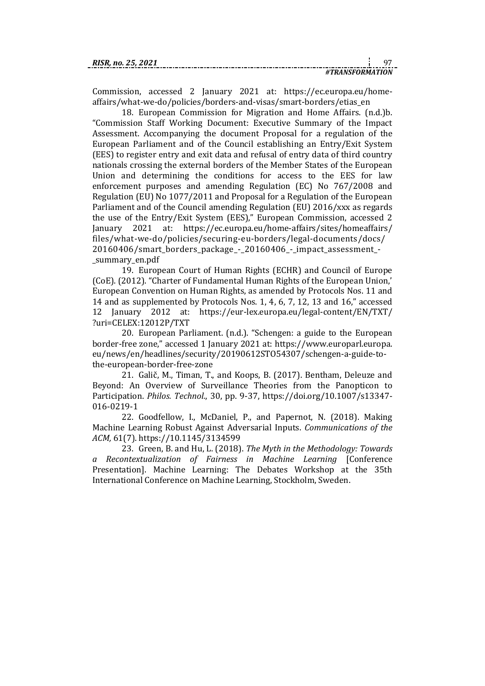| RISR. no. 25. 2021 |                 |  |
|--------------------|-----------------|--|
|                    | #TRANSFORMATION |  |

Commission, accessed 2 January 2021 at: [https://ec.europa.eu/home](https://ec.europa.eu/home-affairs/what-we-do/policies/borders-and-visas/smart-borders/etias_en)[affairs/what-we-do/policies/borders-and-visas/smart-borders/etias\\_en](https://ec.europa.eu/home-affairs/what-we-do/policies/borders-and-visas/smart-borders/etias_en)

18. European Commission for Migration and Home Affairs. (n.d.)b. "Commission Staff Working Document: Executive Summary of the Impact Assessment. Accompanying the document Proposal for a regulation of the European Parliament and of the Council establishing an Entry/Exit System (EES) to register entry and exit data and refusal of entry data of third country nationals crossing the external borders of the Member States of the European Union and determining the conditions for access to the EES for law enforcement purposes and amending Regulation (EC) No 767/2008 and Regulation (EU) No 1077/2011 and Proposal for a Regulation of the European Parliament and of the Council amending Regulation (EU) 2016/xxx as regards the use of the Entry/Exit System (EES)," European Commission, accessed 2 January 2021 at: [https://ec.europa.eu/home-affairs/sites/homeaffairs/](https://ec.europa.eu/home-affairs/sites/homeaffairs/files/what-we-do/policies/securing-eu-borders/legal-documents/docs/20160406/smart_borders_package_-_20160406_-_impact_assessment_-_summary_en.pdf) [files/what-we-do/policies/securing-eu-borders/legal-documents/docs/](https://ec.europa.eu/home-affairs/sites/homeaffairs/files/what-we-do/policies/securing-eu-borders/legal-documents/docs/20160406/smart_borders_package_-_20160406_-_impact_assessment_-_summary_en.pdf) [20160406/smart\\_borders\\_package\\_-\\_20160406\\_-\\_impact\\_assessment\\_-](https://ec.europa.eu/home-affairs/sites/homeaffairs/files/what-we-do/policies/securing-eu-borders/legal-documents/docs/20160406/smart_borders_package_-_20160406_-_impact_assessment_-_summary_en.pdf) [\\_summary\\_en.pdf](https://ec.europa.eu/home-affairs/sites/homeaffairs/files/what-we-do/policies/securing-eu-borders/legal-documents/docs/20160406/smart_borders_package_-_20160406_-_impact_assessment_-_summary_en.pdf)

19. European Court of Human Rights (ECHR) and Council of Europe (CoE). (2012). "Charter of Fundamental Human Rights of the European Union,' European Convention on Human Rights, as amended by Protocols Nos. 11 and 14 and as supplemented by Protocols Nos. 1, 4, 6, 7, 12, 13 and 16," accessed 12 January 2012 at: [https://eur-lex.europa.eu/legal-content/EN/TXT/](https://eur-lex.europa.eu/legal-content/EN/TXT/?uri=CELEX:12012P/TXT) [?uri=CELEX:12012P/TXT](https://eur-lex.europa.eu/legal-content/EN/TXT/?uri=CELEX:12012P/TXT)

20. European Parliament. (n.d.). "Schengen: a guide to the European border-free zone," accessed 1 January 2021 at: [https://www.europarl.europa.](https://www.europarl.europa.eu/news/en/headlines/security/20190612STO54307/schengen-a-guide-to-the-european-border-free-zone) [eu/news/en/headlines/security/20190612STO54307/schengen-a-guide-to](https://www.europarl.europa.eu/news/en/headlines/security/20190612STO54307/schengen-a-guide-to-the-european-border-free-zone)[the-european-border-free-zone](https://www.europarl.europa.eu/news/en/headlines/security/20190612STO54307/schengen-a-guide-to-the-european-border-free-zone)

21. Galič, M., Timan, T., and Koops, B. (2017). Bentham, Deleuze and Beyond: An Overview of Surveillance Theories from the Panopticon to Participation. *Philos. Technol.*, 30, pp. 9-37, [https://doi.org/10.1007/s13347-](https://doi.org/10.1007/s13347-016-0219-1) [016-0219-1](https://doi.org/10.1007/s13347-016-0219-1)

22. Goodfellow, I., McDaniel, P., and Papernot, N. (2018). Making Machine Learning Robust Against Adversarial Inputs. *Communications of the ACM,* 61(7). [https://10.1145/3134599](https://10.0.4.121/3134599)

23. Green, B. and Hu, L. (2018). *The Myth in the Methodology: Towards a Recontextualization of Fairness in Machine Learning* [Conference Presentation]. Machine Learning: The Debates Workshop at the 35th International Conference on Machine Learning, Stockholm, Sweden.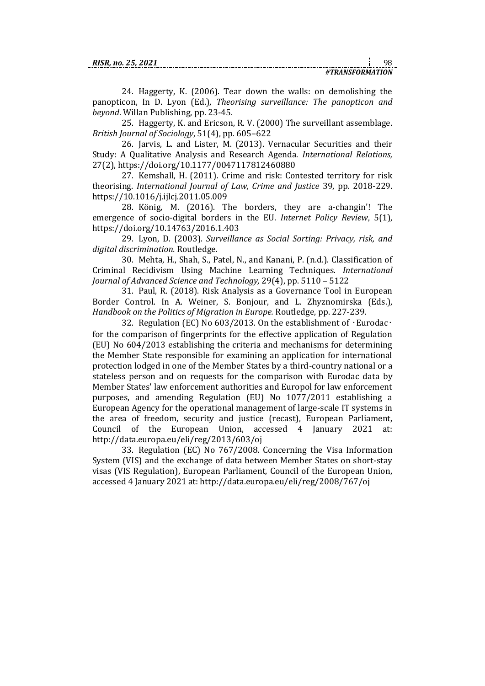24. Haggerty, K. (2006). Tear down the walls: on demolishing the panopticon, In D. Lyon (Ed.), *Theorising surveillance: The panopticon and beyond*. Willan Publishing, pp. 23-45.

25. Haggerty, K. and Ericson, R. V. (2000) The surveillant assemblage. *British Journal of Sociology*, 51(4), pp. 605–622

26. Jarvis, L. and Lister, M. (2013). Vernacular Securities and their Study: A Qualitative Analysis and Research Agenda. *International Relations,* 27(2),<https://doi.org/10.1177/0047117812460880>

27. Kemshall, H. (2011). Crime and risk: Contested territory for risk theorising. *International Journal of Law, Crime and Justice* 39, pp. 2018-229. [https://10.1016/j.ijlcj.2011.05.009](https://10.0.3.248/j.ijlcj.2011.05.009)

28. König, M. (2016). The borders, they are a-changin'! The emergence of socio-digital borders in the EU. *Internet Policy Review*, 5(1), <https://doi.org/10.14763/2016.1.403>

29. Lyon, D. (2003). *Surveillance as Social Sorting: Privacy, risk, and digital discrimination.* Routledge.

30. Mehta, H., Shah, S., Patel, N., and Kanani, P. (n.d.). Classification of Criminal Recidivism Using Machine Learning Techniques. *International Journal of Advanced Science and Technology,* 29(4), pp. 5110 – 5122

31. Paul, R. (2018). Risk Analysis as a Governance Tool in European Border Control. In A. Weiner, S. Bonjour, and L. Zhyznomirska (Eds.), *Handbook on the Politics of Migration in Europe.* Routledge, pp. 227-239.

32. Regulation (EC) No 603/2013. On the establishment of  $\cdot$ Eurodac $\cdot$ for the comparison of fingerprints for the effective application of Regulation (EU) No 604/2013 establishing the criteria and mechanisms for determining the Member State responsible for examining an application for international protection lodged in one of the Member States by a third-country national or a stateless person and on requests for the comparison with Eurodac data by Member States' law enforcement authorities and Europol for law enforcement purposes, and amending Regulation (EU) No 1077/2011 establishing a European Agency for the operational management of large-scale IT systems in the area of freedom, security and justice (recast), European Parliament, Council of the European Union, accessed 4 January 2021 at: <http://data.europa.eu/eli/reg/2013/603/oj>

33. Regulation (EC) No 767/2008. Concerning the Visa Information System (VIS) and the exchange of data between Member States on short-stay visas (VIS Regulation), European Parliament, Council of the European Union, accessed 4 January 2021 at:<http://data.europa.eu/eli/reg/2008/767/oj>